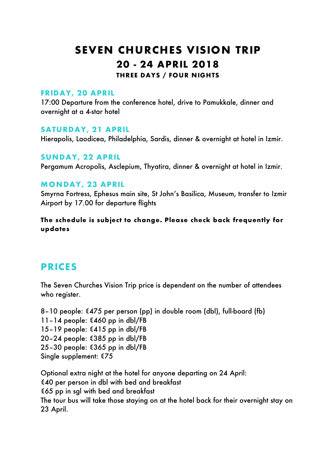# SEVEN CHURCHES VISION TRIP 20 - 24 APRIL 2018

THREE DAYS / FOUR NIGHTS

#### FRIDAY, 20 APRIL

17:00 Departure from the conference hotel, drive to Pamukkale, dinner and overnight at a 4-star hotel

#### SATURDAY, 21 APRIL

Hierapolis, Laodicea, Philadelphia, Sardis, dinner & overnight at hotel in Izmir.

#### SUNDAY, 22 APRIL

Pergamum Acropolis, Asclepium, Thyatira, dinner & overnight at hotel in Izmir.

#### MONDAY, 23 APRIL

Smyrna Fortress, Ephesus main site, St John's Basilica, Museum, transfer to Izmir Airport by 17.00 for departure flights

#### The schedule is subject to change. Please check back frequently for updates

# PRICES

The Seven Churches Vision Trip price is dependent on the number of attendees who register.

8–10 people: €475 per person (pp) in double room (dbl), full-board (fb) 11–14 people: €460 pp in dbl/FB 15–19 people: €415 pp in dbl/FB 20–24 people: €385 pp in dbl/FB 25–30 people: €365 pp in dbl/FB Single supplement: €75

Optional extra night at the hotel for anyone departing on 24 April: €40 per person in dbl with bed and breakfast €65 pp in sgl with bed and breakfast The tour bus will take those staying on at the hotel back for their overnight stay on 23 April.